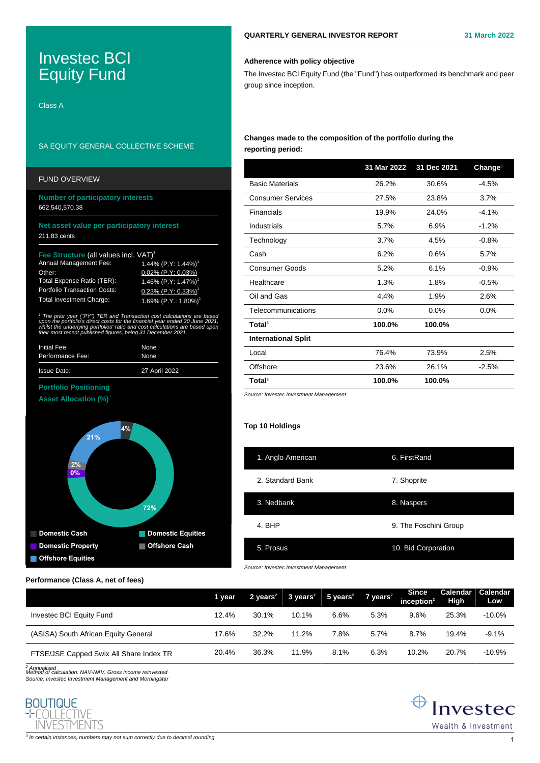# Investec BCI Equity Fund

Class A

# SA EQUITY GENERAL COLLECTIVE SCHEME

| <b>Number of participatory interests</b><br>662,540,570.38                                                                                                                                                                                                                                                         |  |  |  |  |  |  |
|--------------------------------------------------------------------------------------------------------------------------------------------------------------------------------------------------------------------------------------------------------------------------------------------------------------------|--|--|--|--|--|--|
| Net asset value per participatory interest<br>211.83 cents                                                                                                                                                                                                                                                         |  |  |  |  |  |  |
| Fee Structure (all values incl. VAT) <sup>3</sup>                                                                                                                                                                                                                                                                  |  |  |  |  |  |  |
| 1.44% $(P.Y: 1.44%)$ <sup>1</sup>                                                                                                                                                                                                                                                                                  |  |  |  |  |  |  |
| $0.02\%$ (P.Y: 0.03%)                                                                                                                                                                                                                                                                                              |  |  |  |  |  |  |
| 1.46% $(P.Y: 1.47%)$                                                                                                                                                                                                                                                                                               |  |  |  |  |  |  |
| $0.23\%$ (P.Y: 0.33%) <sup>1</sup>                                                                                                                                                                                                                                                                                 |  |  |  |  |  |  |
| 1.69% $(P.Y.: 1.80%)$ <sup>1</sup>                                                                                                                                                                                                                                                                                 |  |  |  |  |  |  |
| <sup>1</sup> The prior year ("PY") TER and Transaction cost calculations are based<br>upon the portfolio's direct costs for the financial year ended 30 June 2021,<br>whilst the underlying portfolios' ratio and cost calculations are based upon<br>their most recent published figures, being 31 December 2021. |  |  |  |  |  |  |
| None                                                                                                                                                                                                                                                                                                               |  |  |  |  |  |  |
| None                                                                                                                                                                                                                                                                                                               |  |  |  |  |  |  |
| 27 April 2022                                                                                                                                                                                                                                                                                                      |  |  |  |  |  |  |
|                                                                                                                                                                                                                                                                                                                    |  |  |  |  |  |  |
|                                                                                                                                                                                                                                                                                                                    |  |  |  |  |  |  |
|                                                                                                                                                                                                                                                                                                                    |  |  |  |  |  |  |



## **Performance (Class A, net of fees)**

|                                         | 1 year |          |       | $2 \text{ years}^2$ 3 years <sup>2</sup> 5 years <sup>2</sup> 7 years <sup>2</sup> |      | Since<br>inception $2$ | Calendar<br><b>High</b> | Calendar<br>Low |
|-----------------------------------------|--------|----------|-------|------------------------------------------------------------------------------------|------|------------------------|-------------------------|-----------------|
| Investec BCI Equity Fund                | 12.4%  | $30.1\%$ | 10.1% | 6.6%                                                                               | 5.3% | 9.6%                   | 25.3%                   | $-10.0\%$       |
| (ASISA) South African Equity General    | 17.6%  | 32.2%    | 11.2% | 7.8%                                                                               | 5.7% | 8.7%                   | 19.4%                   | $-9.1%$         |
| FTSE/JSE Capped Swix All Share Index TR | 20.4%  | 36.3%    | 11.9% | 8.1%                                                                               | 6.3% | 10.2%                  | 20.7%                   | $-10.9%$        |

**BOUTIQUE** COLLECTIVE **INVESTMENTS** 

2 Annualised Method of calculation: NAV-NAV. Gross income reinvested Source: Investec Investment Management and Morningstar

## **Adherence with policy objective**

The Investec BCI Equity Fund (the "Fund") has outperformed its benchmark and peer group since inception.

## **Changes made to the composition of the portfolio during the reporting period:**

|                            | 31 Mar 2022 | 31 Dec 2021 | Change <sup>3</sup> |
|----------------------------|-------------|-------------|---------------------|
| <b>Basic Materials</b>     | 26.2%       | 30.6%       | $-4.5%$             |
| <b>Consumer Services</b>   | 27.5%       | 23.8%       | 3.7%                |
| Financials                 | 19.9%       | 24.0%       | $-4.1%$             |
| Industrials                | 5.7%        | 6.9%        | $-1.2%$             |
| Technology                 | 3.7%        | 4.5%        | $-0.8%$             |
| Cash                       | 6.2%        | 0.6%        | 5.7%                |
| <b>Consumer Goods</b>      | 5.2%        | 6.1%        | $-0.9%$             |
| Healthcare                 | 1.3%        | 1.8%        | $-0.5%$             |
| Oil and Gas                | 4.4%        | 1.9%        | 2.6%                |
| Telecommunications         | 0.0%        | $0.0\%$     | 0.0%                |
| Total <sup>3</sup>         | 100.0%      | 100.0%      |                     |
| <b>International Split</b> |             |             |                     |
| Local                      | 76.4%       | 73.9%       | 2.5%                |
| Offshore                   | 23.6%       | 26.1%       | $-2.5%$             |
| Total <sup>3</sup>         | 100.0%      | 100.0%      |                     |

Source: Investec Investment Management

## **Top 10 Holdings**

| 1. Anglo American | 6. FirstRand          |
|-------------------|-----------------------|
| 2. Standard Bank  | 7. Shoprite           |
| 3. Nedbank        | 8. Naspers            |
| 4. BHP            | 9. The Foschini Group |
| 5. Prosus         | 10. Bid Corporation   |

Source: Investec Investment Management